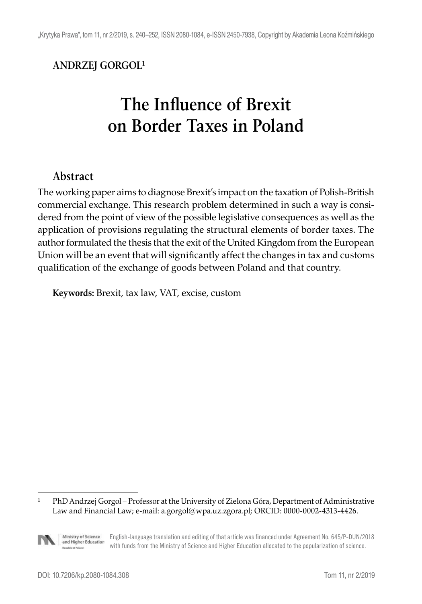#### **ANDRZEJ GORGOL1**

# **The Influence of Brexit on Border Taxes in Poland**

#### **Abstract**

The working paper aims to diagnose Brexit's impact on the taxation of Polish-British commercial exchange. This research problem determined in such a way is considered from the point of view of the possible legislative consequences as well as the application of provisions regulating the structural elements of border taxes. The author formulated the thesis that the exit of the United Kingdom from the European Union will be an event that will significantly affect the changes in tax and customs qualification of the exchange of goods between Poland and that country.

**Keywords:** Brexit, tax law, VAT, excise, custom

<sup>1</sup> PhD Andrzej Gorgol – Professor at the University of Zielona Góra, Department of Administrative Law and Financial Law; e-mail: a.gorgol@wpa.uz.zgora.pl; ORCID: 0000-0002-4313-4426.

Ministry of Science English-language translation and editing of that article was financed under Agreement No. 645/P-DUN/2018 and Higher Education with funds from the Ministry of Science and Higher Education allocated to the popularization of science.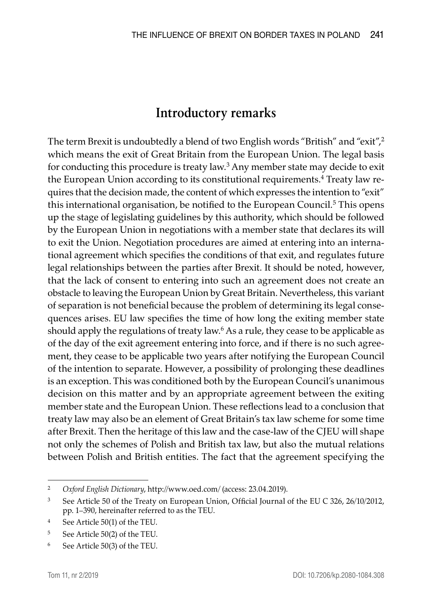## **Introductory remarks**

The term Brexit is undoubtedly a blend of two English words "British" and "exit",<sup>2</sup> which means the exit of Great Britain from the European Union. The legal basis for conducting this procedure is treaty law.<sup>3</sup> Any member state may decide to exit the European Union according to its constitutional requirements.<sup>4</sup> Treaty law requires that the decision made, the content of which expresses the intention to "exit" this international organisation, be notified to the European Council.<sup>5</sup> This opens up the stage of legislating guidelines by this authority, which should be followed by the European Union in negotiations with a member state that declares its will to exit the Union. Negotiation procedures are aimed at entering into an international agreement which specifies the conditions of that exit, and regulates future legal relationships between the parties after Brexit. It should be noted, however, that the lack of consent to entering into such an agreement does not create an obstacle to leaving the European Union by Great Britain. Nevertheless, this variant of separation is not beneficial because the problem of determining its legal consequences arises. EU law specifies the time of how long the exiting member state should apply the regulations of treaty law. $^6$  As a rule, they cease to be applicable as of the day of the exit agreement entering into force, and if there is no such agreement, they cease to be applicable two years after notifying the European Council of the intention to separate. However, a possibility of prolonging these deadlines is an exception. This was conditioned both by the European Council's unanimous decision on this matter and by an appropriate agreement between the exiting member state and the European Union. These reflections lead to a conclusion that treaty law may also be an element of Great Britain's tax law scheme for some time after Brexit. Then the heritage of this law and the case-law of the CJEU will shape not only the schemes of Polish and British tax law, but also the mutual relations between Polish and British entities. The fact that the agreement specifying the

<sup>2</sup> *Oxford English Dictionary*, http://www.oed.com/ (access: 23.04.2019).

<sup>&</sup>lt;sup>3</sup> See Article 50 of the Treaty on European Union, Official Journal of the EU C 326, 26/10/2012, pp. 1–390, hereinafter referred to as the TEU.

<sup>4</sup> See Article 50(1) of the TEU.

<sup>5</sup> See Article 50(2) of the TEU.

<sup>6</sup> See Article 50(3) of the TEU.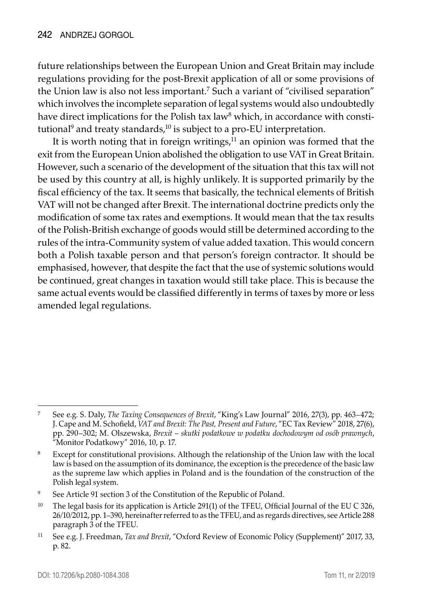future relationships between the European Union and Great Britain may include regulations providing for the post-Brexit application of all or some provisions of the Union law is also not less important.7 Such a variant of "civilised separation" which involves the incomplete separation of legal systems would also undoubtedly have direct implications for the Polish tax law $^8$  which, in accordance with constitutional<sup>9</sup> and treaty standards,<sup>10</sup> is subject to a pro-EU interpretation.

It is worth noting that in foreign writings, $11$  an opinion was formed that the exit from the European Union abolished the obligation to use VAT in Great Britain. However, such a scenario of the development of the situation that this tax will not be used by this country at all, is highly unlikely. It is supported primarily by the fiscal efficiency of the tax. It seems that basically, the technical elements of British VAT will not be changed after Brexit. The international doctrine predicts only the modification of some tax rates and exemptions. It would mean that the tax results of the Polish-British exchange of goods would still be determined according to the rules of the intra-Community system of value added taxation. This would concern both a Polish taxable person and that person's foreign contractor. It should be emphasised, however, that despite the fact that the use of systemic solutions would be continued, great changes in taxation would still take place. This is because the same actual events would be classified differently in terms of taxes by more or less amended legal regulations.

<sup>7</sup> See e.g. S. Daly, *The Taxing Consequences of Brexit*, "King's Law Journal" 2016, 27(3), pp. 463–472; J. Cape and M. Schofield, *VAT and Brexit: The Past, Present and Future*, "EC Tax Review" 2018, 27(6), pp. 290–302; M. Olszewska, *Brexit – skutki podatkowe w podatku dochodowym od osób prawnych*, "Monitor Podatkowy" 2016, 10, p. 17.

<sup>8</sup> Except for constitutional provisions. Although the relationship of the Union law with the local law is based on the assumption of its dominance, the exception is the precedence of the basic law as the supreme law which applies in Poland and is the foundation of the construction of the Polish legal system.

<sup>9</sup> See Article 91 section 3 of the Constitution of the Republic of Poland.

<sup>&</sup>lt;sup>10</sup> The legal basis for its application is Article 291(1) of the TFEU, Official Journal of the EU C 326, 26/10/2012, pp. 1–390, hereinafter referred to as the TFEU, and as regards directives, see Article 288 paragraph 3 of the TFEU.

<sup>11</sup> See e.g. J. Freedman, *Tax and Brexit*, "Oxford Review of Economic Policy (Supplement)" 2017, 33, p. 82.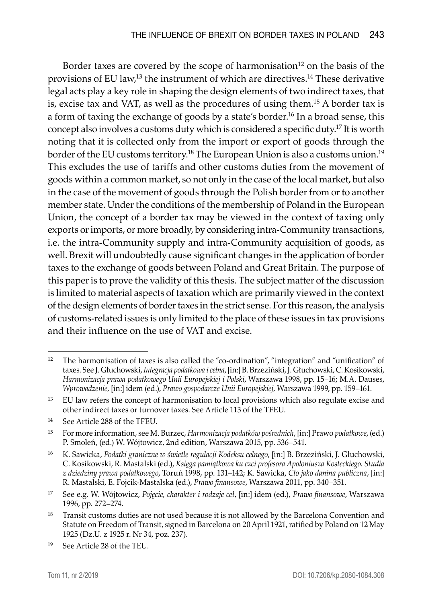Border taxes are covered by the scope of harmonisation<sup>12</sup> on the basis of the provisions of EU law,13 the instrument of which are directives.14 These derivative legal acts play a key role in shaping the design elements of two indirect taxes, that is, excise tax and VAT, as well as the procedures of using them.15 A border tax is a form of taxing the exchange of goods by a state's border.<sup>16</sup> In a broad sense, this concept also involves a customs duty which is considered a specific duty.17 It is worth noting that it is collected only from the import or export of goods through the border of the EU customs territory.<sup>18</sup> The European Union is also a customs union.<sup>19</sup> This excludes the use of tariffs and other customs duties from the movement of goods within a common market, so not only in the case of the local market, but also in the case of the movement of goods through the Polish border from or to another member state. Under the conditions of the membership of Poland in the European Union, the concept of a border tax may be viewed in the context of taxing only exports or imports, or more broadly, by considering intra-Community transactions, i.e. the intra-Community supply and intra-Community acquisition of goods, as well. Brexit will undoubtedly cause significant changes in the application of border taxes to the exchange of goods between Poland and Great Britain. The purpose of this paper is to prove the validity of this thesis. The subject matter of the discussion is limited to material aspects of taxation which are primarily viewed in the context of the design elements of border taxes in the strict sense. For this reason, the analysis of customs-related issues is only limited to the place of these issues in tax provisions and their influence on the use of VAT and excise.

<sup>17</sup> See e.g. W. Wójtowicz, *Pojęcie, charakter i rodzaje ceł*, [in:] idem (ed.), *Prawo finansowe*, Warszawa 1996, pp. 272–274.

<sup>&</sup>lt;sup>12</sup> The harmonisation of taxes is also called the "co-ordination", "integration" and "unification" of taxes. See J. Głuchowski, *Integracja podatkowa i celna*, [in:] B. Brzeziński, J. Głuchowski, C. Kosikowski, *Harmonizacja prawa podatkowego Unii Europejskiej i Polski*, Warszawa 1998, pp. 15–16; M.A. Dauses, *Wprowadzenie*, [in:] idem (ed.), *Prawo gospodarcze Unii Europejskiej*, Warszawa 1999, pp. 159–161.

<sup>&</sup>lt;sup>13</sup> EU law refers the concept of harmonisation to local provisions which also regulate excise and other indirect taxes or turnover taxes. See Article 113 of the TFEU.

<sup>14</sup> See Article 288 of the TFEU.

<sup>15</sup> For more information, see M. Burzec, *Harmonizacja podatków pośrednich*, [in:] Prawo *podatkowe*, (ed.) P. Smoleń, (ed.) W. Wójtowicz, 2nd edition, Warszawa 2015, pp. 536–541.

<sup>16</sup> K. Sawicka, *Podatki graniczne w świetle regulacji Kodeksu celnego*, [in:] B. Brzeziński, J. Głuchowski, C. Kosikowski, R. Mastalski (ed.), *Księga pamiątkowa ku czci profesora Apoloniusza Kosteckiego. Studia z dziedziny prawa podatkowego*, Toruń 1998, pp. 131–142; K. Sawicka, *Cło jako danina publiczna*, [in:] R. Mastalski, E. Fojcik-Mastalska (ed.), *Prawo finansowe*, Warszawa 2011, pp. 340–351.

<sup>&</sup>lt;sup>18</sup> Transit customs duties are not used because it is not allowed by the Barcelona Convention and Statute on Freedom of Transit, signed in Barcelona on 20 April 1921, ratified by Poland on 12 May 1925 (Dz.U. z 1925 r. Nr 34, poz. 237).

<sup>19</sup> See Article 28 of the TEU.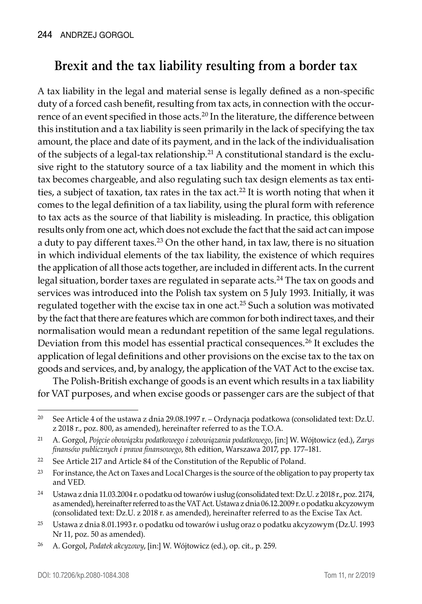# **Brexit and the tax liability resulting from a border tax**

A tax liability in the legal and material sense is legally defined as a non-specific duty of a forced cash benefit, resulting from tax acts, in connection with the occurrence of an event specified in those acts.<sup>20</sup> In the literature, the difference between this institution and a tax liability is seen primarily in the lack of specifying the tax amount, the place and date of its payment, and in the lack of the individualisation of the subjects of a legal-tax relationship.21 A constitutional standard is the exclusive right to the statutory source of a tax liability and the moment in which this tax becomes chargeable, and also regulating such tax design elements as tax entities, a subject of taxation, tax rates in the tax act.<sup>22</sup> It is worth noting that when it comes to the legal definition of a tax liability, using the plural form with reference to tax acts as the source of that liability is misleading. In practice, this obligation results only from one act, which does not exclude the fact that the said act can impose a duty to pay different taxes.23 On the other hand, in tax law, there is no situation in which individual elements of the tax liability, the existence of which requires the application of all those acts together, are included in different acts. In the current legal situation, border taxes are regulated in separate acts.24 The tax on goods and services was introduced into the Polish tax system on 5 July 1993. Initially, it was regulated together with the excise tax in one act.25 Such a solution was motivated by the fact that there are features which are common for both indirect taxes, and their normalisation would mean a redundant repetition of the same legal regulations. Deviation from this model has essential practical consequences.<sup>26</sup> It excludes the application of legal definitions and other provisions on the excise tax to the tax on goods and services, and, by analogy, the application of the VAT Act to the excise tax.

The Polish-British exchange of goods is an event which results in a tax liability for VAT purposes, and when excise goods or passenger cars are the subject of that

<sup>&</sup>lt;sup>20</sup> See Article 4 of the ustawa z dnia 29.08.1997 r. – Ordynacja podatkowa (consolidated text: Dz.U. z 2018 r., poz. 800, as amended), hereinafter referred to as the T.O.A.

<sup>21</sup> A. Gorgol, *Pojęcie obowiązku podatkowego i zobowiązania podatkowego*, [in:] W. Wójtowicz (ed.), *Zarys finansów publicznych i prawa finansowego*, 8th edition, Warszawa 2017, pp. 177–181.

<sup>22</sup> See Article 217 and Article 84 of the Constitution of the Republic of Poland.

<sup>&</sup>lt;sup>23</sup> For instance, the Act on Taxes and Local Charges is the source of the obligation to pay property tax and VED.

<sup>24</sup> Ustawa z dnia 11.03.2004 r. o podatku od towarów i usług (consolidated text: Dz.U. z 2018 r., poz. 2174, as amended), hereinafter referred to as the VAT Act. Ustawa z dnia 06.12.2009 r. o podatku akcyzowym (consolidated text: Dz.U. z 2018 r. as amended), hereinafter referred to as the Excise Tax Act.

<sup>25</sup> Ustawa z dnia 8.01.1993 r. o podatku od towarów i usług oraz o podatku akcyzowym (Dz.U. 1993 Nr 11, poz. 50 as amended).

<sup>26</sup> A. Gorgol, *Podatek akcyzowy*, [in:] W. Wójtowicz (ed.), op. cit., p. 259.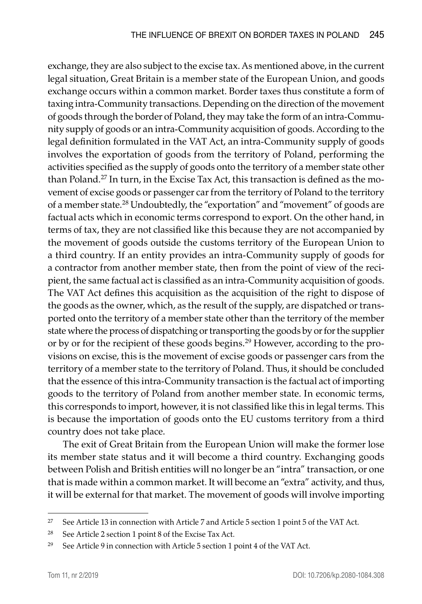exchange, they are also subject to the excise tax. As mentioned above, in the current legal situation, Great Britain is a member state of the European Union, and goods exchange occurs within a common market. Border taxes thus constitute a form of taxing intra-Community transactions. Depending on the direction of the movement of goods through the border of Poland, they may take the form of an intra-Community supply of goods or an intra-Community acquisition of goods. According to the legal definition formulated in the VAT Act, an intra-Community supply of goods involves the exportation of goods from the territory of Poland, performing the activities specified as the supply of goods onto the territory of a member state other than Poland.27 In turn, in the Excise Tax Act, this transaction is defined as the movement of excise goods or passenger car from the territory of Poland to the territory of a member state.<sup>28</sup> Undoubtedly, the "exportation" and "movement" of goods are factual acts which in economic terms correspond to export. On the other hand, in terms of tax, they are not classified like this because they are not accompanied by the movement of goods outside the customs territory of the European Union to a third country. If an entity provides an intra-Community supply of goods for a contractor from another member state, then from the point of view of the recipient, the same factual act is classified as an intra-Community acquisition of goods. The VAT Act defines this acquisition as the acquisition of the right to dispose of the goods as the owner, which, as the result of the supply, are dispatched or transported onto the territory of a member state other than the territory of the member state where the process of dispatching or transporting the goods by or for the supplier or by or for the recipient of these goods begins.29 However, according to the provisions on excise, this is the movement of excise goods or passenger cars from the territory of a member state to the territory of Poland. Thus, it should be concluded that the essence of this intra-Community transaction is the factual act of importing goods to the territory of Poland from another member state. In economic terms, this corresponds to import, however, it is not classified like this in legal terms. This is because the importation of goods onto the EU customs territory from a third country does not take place.

The exit of Great Britain from the European Union will make the former lose its member state status and it will become a third country. Exchanging goods between Polish and British entities will no longer be an "intra" transaction, or one that is made within a common market. It will become an "extra" activity, and thus, it will be external for that market. The movement of goods will involve importing

<sup>27</sup> See Article 13 in connection with Article 7 and Article 5 section 1 point 5 of the VAT Act.

<sup>28</sup> See Article 2 section 1 point 8 of the Excise Tax Act.

<sup>&</sup>lt;sup>29</sup> See Article 9 in connection with Article 5 section 1 point 4 of the VAT Act.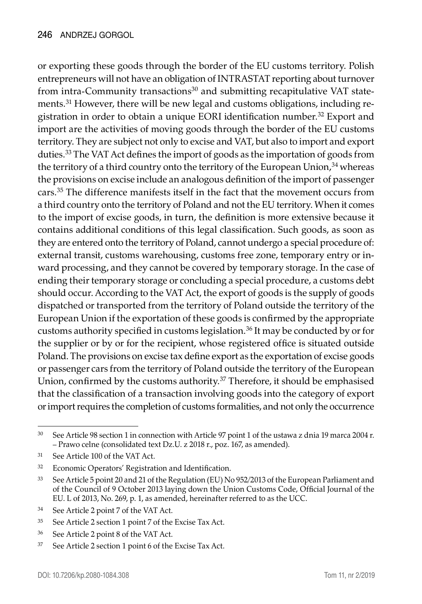or exporting these goods through the border of the EU customs territory. Polish entrepreneurs will not have an obligation of INTRASTAT reporting about turnover from intra-Community transactions $30$  and submitting recapitulative VAT statements.31 However, there will be new legal and customs obligations, including registration in order to obtain a unique EORI identification number.<sup>32</sup> Export and import are the activities of moving goods through the border of the EU customs territory. They are subject not only to excise and VAT, but also to import and export duties.<sup>33</sup> The VAT Act defines the import of goods as the importation of goods from the territory of a third country onto the territory of the European Union,<sup>34</sup> whereas the provisions on excise include an analogous definition of the import of passenger cars.35 The difference manifests itself in the fact that the movement occurs from a third country onto the territory of Poland and not the EU territory. When it comes to the import of excise goods, in turn, the definition is more extensive because it contains additional conditions of this legal classification. Such goods, as soon as they are entered onto the territory of Poland, cannot undergo a special procedure of: external transit, customs warehousing, customs free zone, temporary entry or inward processing, and they cannot be covered by temporary storage. In the case of ending their temporary storage or concluding a special procedure, a customs debt should occur. According to the VAT Act, the export of goods is the supply of goods dispatched or transported from the territory of Poland outside the territory of the European Union if the exportation of these goods is confirmed by the appropriate customs authority specified in customs legislation.<sup>36</sup> It may be conducted by or for the supplier or by or for the recipient, whose registered office is situated outside Poland. The provisions on excise tax define export as the exportation of excise goods or passenger cars from the territory of Poland outside the territory of the European Union, confirmed by the customs authority.<sup>37</sup> Therefore, it should be emphasised that the classification of a transaction involving goods into the category of export or import requires the completion of customs formalities, and not only the occurrence

<sup>&</sup>lt;sup>30</sup> See Article 98 section 1 in connection with Article 97 point 1 of the ustawa z dnia 19 marca 2004 r. – Prawo celne (consolidated text Dz.U. z 2018 r., poz. 167, as amended).

<sup>31</sup> See Article 100 of the VAT Act.

<sup>32</sup> Economic Operators' Registration and Identification.

<sup>33</sup> See Article 5 point 20 and 21 of the Regulation (EU) No 952/2013 of the European Parliament and of the Council of 9 October 2013 laying down the Union Customs Code, Official Journal of the EU. L of 2013, No. 269, p. 1, as amended, hereinafter referred to as the UCC.

<sup>34</sup> See Article 2 point 7 of the VAT Act.

<sup>35</sup> See Article 2 section 1 point 7 of the Excise Tax Act.

<sup>36</sup> See Article 2 point 8 of the VAT Act.

<sup>37</sup> See Article 2 section 1 point 6 of the Excise Tax Act.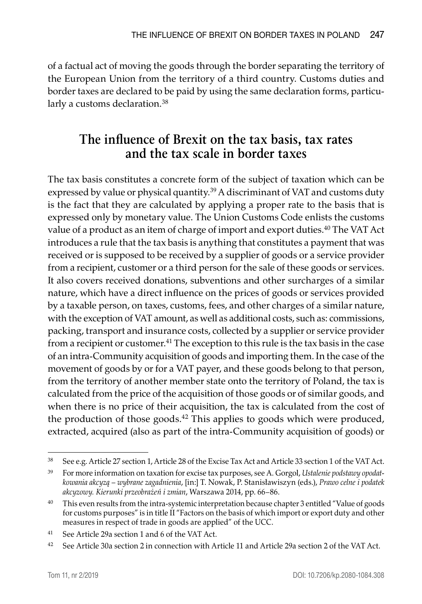of a factual act of moving the goods through the border separating the territory of the European Union from the territory of a third country. Customs duties and border taxes are declared to be paid by using the same declaration forms, particularly a customs declaration.<sup>38</sup>

### **The influence of Brexit on the tax basis, tax rates and the tax scale in border taxes**

The tax basis constitutes a concrete form of the subject of taxation which can be expressed by value or physical quantity.<sup>39</sup> A discriminant of VAT and customs duty is the fact that they are calculated by applying a proper rate to the basis that is expressed only by monetary value. The Union Customs Code enlists the customs value of a product as an item of charge of import and export duties.<sup>40</sup> The VAT Act introduces a rule that the tax basis is anything that constitutes a payment that was received or is supposed to be received by a supplier of goods or a service provider from a recipient, customer or a third person for the sale of these goods or services. It also covers received donations, subventions and other surcharges of a similar nature, which have a direct influence on the prices of goods or services provided by a taxable person, on taxes, customs, fees, and other charges of a similar nature, with the exception of VAT amount, as well as additional costs, such as: commissions, packing, transport and insurance costs, collected by a supplier or service provider from a recipient or customer.<sup>41</sup> The exception to this rule is the tax basis in the case of an intra-Community acquisition of goods and importing them. In the case of the movement of goods by or for a VAT payer, and these goods belong to that person, from the territory of another member state onto the territory of Poland, the tax is calculated from the price of the acquisition of those goods or of similar goods, and when there is no price of their acquisition, the tax is calculated from the cost of the production of those goods.<sup>42</sup> This applies to goods which were produced, extracted, acquired (also as part of the intra-Community acquisition of goods) or

<sup>38</sup> See e.g. Article 27 section 1, Article 28 of the Excise Tax Act and Article 33 section 1 of the VAT Act.

<sup>39</sup> For more information on taxation for excise tax purposes, see A. Gorgol, *Ustalenie podstawy opodatkowania akcyzą – wybrane zagadnienia*, [in:] T. Nowak, P. Stanisławiszyn (eds.), *Prawo celne i podatek akcyzowy. Kierunki przeobrażeń i zmian*, Warszawa 2014, pp. 66–86.

<sup>40</sup> This even results from the intra-systemic interpretation because chapter 3 entitled "Value of goods for customs purposes" is in title II "Factors on the basis of which import or export duty and other measures in respect of trade in goods are applied" of the UCC.

<sup>41</sup> See Article 29a section 1 and 6 of the VAT Act.

<sup>42</sup> See Article 30a section 2 in connection with Article 11 and Article 29a section 2 of the VAT Act.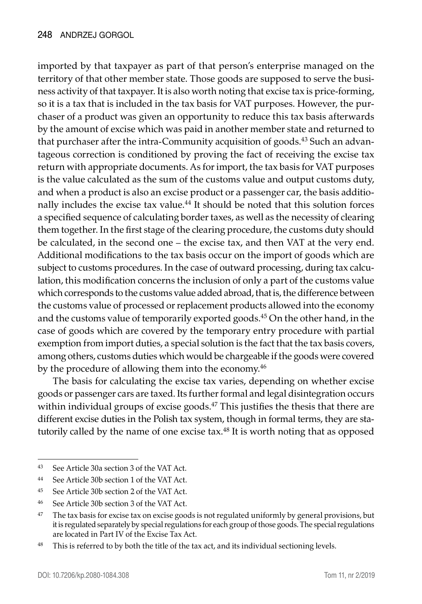imported by that taxpayer as part of that person's enterprise managed on the territory of that other member state. Those goods are supposed to serve the business activity of that taxpayer. It is also worth noting that excise tax is price-forming, so it is a tax that is included in the tax basis for VAT purposes. However, the purchaser of a product was given an opportunity to reduce this tax basis afterwards by the amount of excise which was paid in another member state and returned to that purchaser after the intra-Community acquisition of goods.<sup>43</sup> Such an advantageous correction is conditioned by proving the fact of receiving the excise tax return with appropriate documents. As for import, the tax basis for VAT purposes is the value calculated as the sum of the customs value and output customs duty, and when a product is also an excise product or a passenger car, the basis additionally includes the excise tax value.<sup>44</sup> It should be noted that this solution forces a specified sequence of calculating border taxes, as well as the necessity of clearing them together. In the first stage of the clearing procedure, the customs duty should be calculated, in the second one – the excise tax, and then VAT at the very end. Additional modifications to the tax basis occur on the import of goods which are subject to customs procedures. In the case of outward processing, during tax calculation, this modification concerns the inclusion of only a part of the customs value which corresponds to the customs value added abroad, that is, the difference between the customs value of processed or replacement products allowed into the economy and the customs value of temporarily exported goods.45 On the other hand, in the case of goods which are covered by the temporary entry procedure with partial exemption from import duties, a special solution is the fact that the tax basis covers, among others, customs duties which would be chargeable if the goods were covered by the procedure of allowing them into the economy.<sup>46</sup>

The basis for calculating the excise tax varies, depending on whether excise goods or passenger cars are taxed. Its further formal and legal disintegration occurs within individual groups of excise goods. $47$  This justifies the thesis that there are different excise duties in the Polish tax system, though in formal terms, they are statutorily called by the name of one excise tax. $48$  It is worth noting that as opposed

<sup>43</sup> See Article 30a section 3 of the VAT Act.

<sup>44</sup> See Article 30b section 1 of the VAT Act.

<sup>45</sup> See Article 30b section 2 of the VAT Act.

<sup>46</sup> See Article 30b section 3 of the VAT Act.

<sup>&</sup>lt;sup>47</sup> The tax basis for excise tax on excise goods is not regulated uniformly by general provisions, but it is regulated separately by special regulations for each group of those goods. The special regulations are located in Part IV of the Excise Tax Act.

<sup>&</sup>lt;sup>48</sup> This is referred to by both the title of the tax act, and its individual sectioning levels.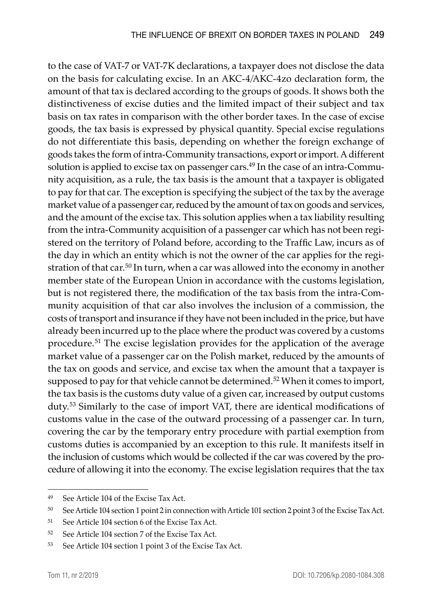to the case of VAT-7 or VAT-7K declarations, a taxpayer does not disclose the data on the basis for calculating excise. In an AKC-4/AKC-4zo declaration form, the amount of that tax is declared according to the groups of goods. It shows both the distinctiveness of excise duties and the limited impact of their subject and tax basis on tax rates in comparison with the other border taxes. In the case of excise goods, the tax basis is expressed by physical quantity. Special excise regulations do not differentiate this basis, depending on whether the foreign exchange of goods takes the form of intra-Community transactions, export or import. A different solution is applied to excise tax on passenger cars.<sup>49</sup> In the case of an intra-Community acquisition, as a rule, the tax basis is the amount that a taxpayer is obligated to pay for that car. The exception is specifying the subject of the tax by the average market value of a passenger car, reduced by the amount of tax on goods and services, and the amount of the excise tax. This solution applies when a tax liability resulting from the intra-Community acquisition of a passenger car which has not been registered on the territory of Poland before, according to the Traffic Law, incurs as of the day in which an entity which is not the owner of the car applies for the registration of that car.50 In turn, when a car was allowed into the economy in another member state of the European Union in accordance with the customs legislation, but is not registered there, the modification of the tax basis from the intra-Community acquisition of that car also involves the inclusion of a commission, the costs of transport and insurance if they have not been included in the price, but have already been incurred up to the place where the product was covered by a customs procedure.51 The excise legislation provides for the application of the average market value of a passenger car on the Polish market, reduced by the amounts of the tax on goods and service, and excise tax when the amount that a taxpayer is supposed to pay for that vehicle cannot be determined.<sup>52</sup> When it comes to import, the tax basis is the customs duty value of a given car, increased by output customs duty.<sup>53</sup> Similarly to the case of import VAT, there are identical modifications of customs value in the case of the outward processing of a passenger car. In turn, covering the car by the temporary entry procedure with partial exemption from customs duties is accompanied by an exception to this rule. It manifests itself in the inclusion of customs which would be collected if the car was covered by the procedure of allowing it into the economy. The excise legislation requires that the tax

<sup>49</sup> See Article 104 of the Excise Tax Act.

<sup>50</sup> See Article 104 section 1 point 2 in connection with Article 101 section 2 point 3 of the Excise Tax Act.

<sup>51</sup> See Article 104 section 6 of the Excise Tax Act.

<sup>52</sup> See Article 104 section 7 of the Excise Tax Act.

<sup>53</sup> See Article 104 section 1 point 3 of the Excise Tax Act.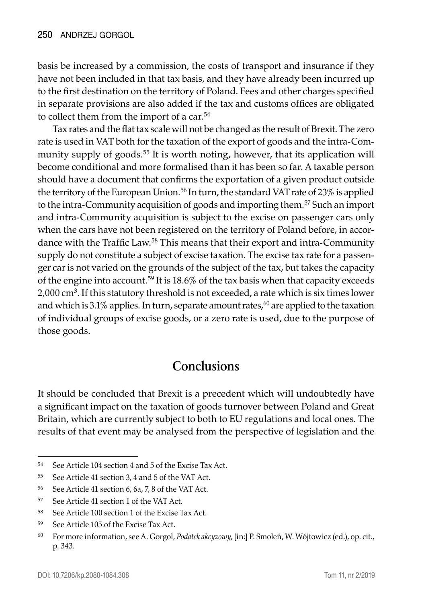basis be increased by a commission, the costs of transport and insurance if they have not been included in that tax basis, and they have already been incurred up to the first destination on the territory of Poland. Fees and other charges specified in separate provisions are also added if the tax and customs offices are obligated to collect them from the import of a car.<sup>54</sup>

Tax rates and the flat tax scale will not be changed as the result of Brexit. The zero rate is used in VAT both for the taxation of the export of goods and the intra-Community supply of goods.<sup>55</sup> It is worth noting, however, that its application will become conditional and more formalised than it has been so far. A taxable person should have a document that confirms the exportation of a given product outside the territory of the European Union.<sup>56</sup> In turn, the standard VAT rate of 23% is applied to the intra-Community acquisition of goods and importing them.<sup>57</sup> Such an import and intra-Community acquisition is subject to the excise on passenger cars only when the cars have not been registered on the territory of Poland before, in accordance with the Traffic Law.<sup>58</sup> This means that their export and intra-Community supply do not constitute a subject of excise taxation. The excise tax rate for a passenger car is not varied on the grounds of the subject of the tax, but takes the capacity of the engine into account.59 It is 18.6% of the tax basis when that capacity exceeds 2,000 cm<sup>3</sup>. If this statutory threshold is not exceeded, a rate which is six times lower and which is 3.1% applies. In turn, separate amount rates,  $60$  are applied to the taxation of individual groups of excise goods, or a zero rate is used, due to the purpose of those goods.

#### **Conclusions**

It should be concluded that Brexit is a precedent which will undoubtedly have a significant impact on the taxation of goods turnover between Poland and Great Britain, which are currently subject to both to EU regulations and local ones. The results of that event may be analysed from the perspective of legislation and the

<sup>54</sup> See Article 104 section 4 and 5 of the Excise Tax Act.

<sup>55</sup> See Article 41 section 3, 4 and 5 of the VAT Act.

<sup>56</sup> See Article 41 section 6, 6a, 7, 8 of the VAT Act.

<sup>57</sup> See Article 41 section 1 of the VAT Act.

<sup>58</sup> See Article 100 section 1 of the Excise Tax Act.

<sup>59</sup> See Article 105 of the Excise Tax Act.

<sup>60</sup> For more information, see A. Gorgol, *Podatek akcyzowy*, [in:] P. Smoleń, W. Wójtowicz (ed.), op. cit., p. 343.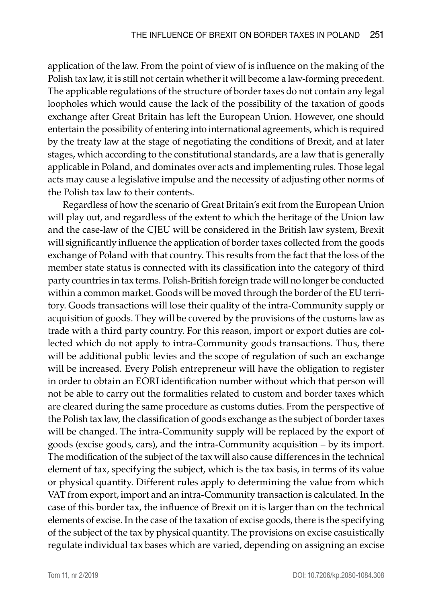application of the law. From the point of view of is influence on the making of the Polish tax law, it is still not certain whether it will become a law-forming precedent. The applicable regulations of the structure of border taxes do not contain any legal loopholes which would cause the lack of the possibility of the taxation of goods exchange after Great Britain has left the European Union. However, one should entertain the possibility of entering into international agreements, which is required by the treaty law at the stage of negotiating the conditions of Brexit, and at later stages, which according to the constitutional standards, are a law that is generally applicable in Poland, and dominates over acts and implementing rules. Those legal acts may cause a legislative impulse and the necessity of adjusting other norms of the Polish tax law to their contents.

Regardless of how the scenario of Great Britain's exit from the European Union will play out, and regardless of the extent to which the heritage of the Union law and the case-law of the CJEU will be considered in the British law system, Brexit will significantly influence the application of border taxes collected from the goods exchange of Poland with that country. This results from the fact that the loss of the member state status is connected with its classification into the category of third party countries in tax terms. Polish-British foreign trade will no longer be conducted within a common market. Goods will be moved through the border of the EU territory. Goods transactions will lose their quality of the intra-Community supply or acquisition of goods. They will be covered by the provisions of the customs law as trade with a third party country. For this reason, import or export duties are collected which do not apply to intra-Community goods transactions. Thus, there will be additional public levies and the scope of regulation of such an exchange will be increased. Every Polish entrepreneur will have the obligation to register in order to obtain an EORI identification number without which that person will not be able to carry out the formalities related to custom and border taxes which are cleared during the same procedure as customs duties. From the perspective of the Polish tax law, the classification of goods exchange as the subject of border taxes will be changed. The intra-Community supply will be replaced by the export of goods (excise goods, cars), and the intra-Community acquisition – by its import. The modification of the subject of the tax will also cause differences in the technical element of tax, specifying the subject, which is the tax basis, in terms of its value or physical quantity. Different rules apply to determining the value from which VAT from export, import and an intra-Community transaction is calculated. In the case of this border tax, the influence of Brexit on it is larger than on the technical elements of excise. In the case of the taxation of excise goods, there is the specifying of the subject of the tax by physical quantity. The provisions on excise casuistically regulate individual tax bases which are varied, depending on assigning an excise